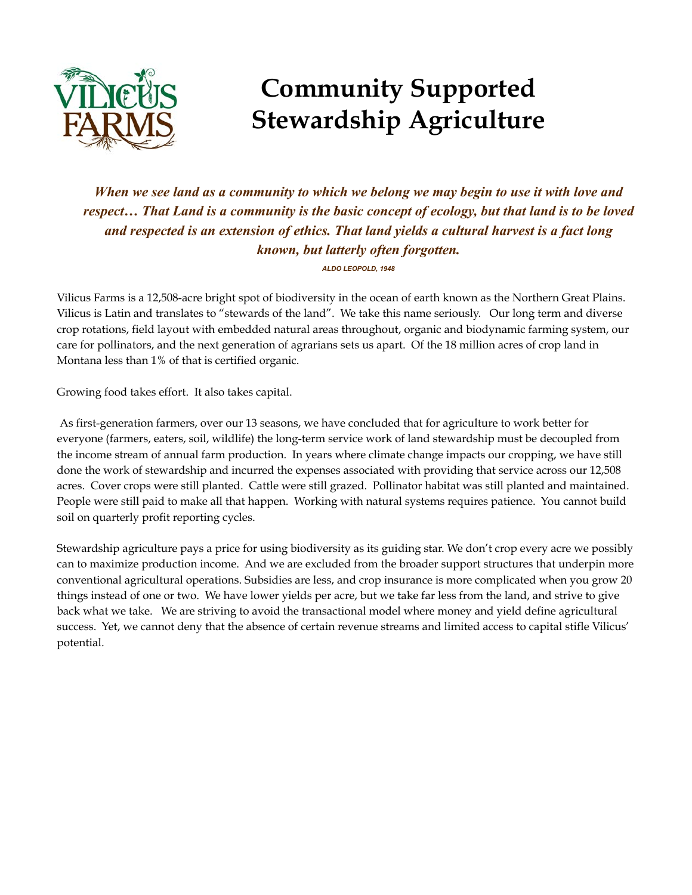

*When we see land as a community to which we belong we may begin to use it with love and respect… That Land is a community is the basic concept of ecology, but that land is to be loved and respected is an extension of ethics. That land yields a cultural harvest is a fact long known, but latterly often forgotten.*

*ALDO LEOPOLD, 1948*

Vilicus Farms is a 12,508-acre bright spot of biodiversity in the ocean of earth known as the Northern Great Plains. Vilicus is Latin and translates to "stewards of the land". We take this name seriously. Our long term and diverse crop rotations, field layout with embedded natural areas throughout, organic and biodynamic farming system, our care for pollinators, and the next generation of agrarians sets us apart. Of the 18 million acres of crop land in Montana less than 1% of that is certified organic.

Growing food takes effort. It also takes capital.

As first-generation farmers, over our 13 seasons, we have concluded that for agriculture to work better for everyone (farmers, eaters, soil, wildlife) the long-term service work of land stewardship must be decoupled from the income stream of annual farm production. In years where climate change impacts our cropping, we have still done the work of stewardship and incurred the expenses associated with providing that service across our 12,508 acres. Cover crops were still planted. Cattle were still grazed. Pollinator habitat was still planted and maintained. People were still paid to make all that happen. Working with natural systems requires patience. You cannot build soil on quarterly profit reporting cycles.

Stewardship agriculture pays a price for using biodiversity as its guiding star. We don't crop every acre we possibly can to maximize production income. And we are excluded from the broader support structures that underpin more conventional agricultural operations. Subsidies are less, and crop insurance is more complicated when you grow 20 things instead of one or two. We have lower yields per acre, but we take far less from the land, and strive to give back what we take. We are striving to avoid the transactional model where money and yield define agricultural success. Yet, we cannot deny that the absence of certain revenue streams and limited access to capital stifle Vilicus' potential.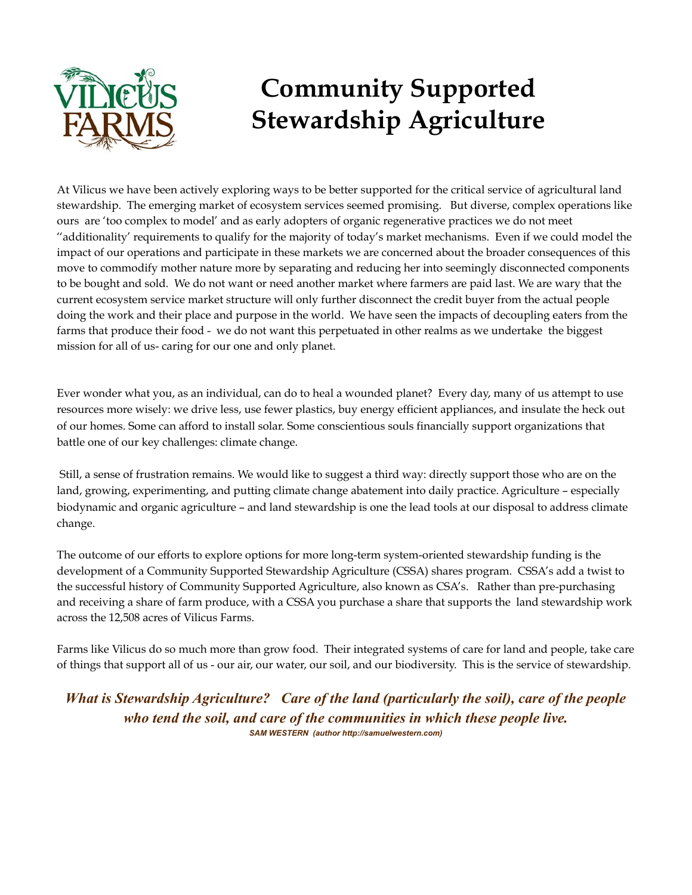

At Vilicus we have been actively exploring ways to be better supported for the critical service of agricultural land stewardship. The emerging market of ecosystem services seemed promising. But diverse, complex operations like ours are 'too complex to model' and as early adopters of organic regenerative practices we do not meet ''additionality' requirements to qualify for the majority of today's market mechanisms. Even if we could model the impact of our operations and participate in these markets we are concerned about the broader consequences of this move to commodify mother nature more by separating and reducing her into seemingly disconnected components to be bought and sold. We do not want or need another market where farmers are paid last. We are wary that the current ecosystem service market structure will only further disconnect the credit buyer from the actual people doing the work and their place and purpose in the world. We have seen the impacts of decoupling eaters from the farms that produce their food - we do not want this perpetuated in other realms as we undertake the biggest mission for all of us- caring for our one and only planet.

Ever wonder what you, as an individual, can do to heal a wounded planet? Every day, many of us attempt to use resources more wisely: we drive less, use fewer plastics, buy energy efficient appliances, and insulate the heck out of our homes. Some can afford to install solar. Some conscientious souls financially support organizations that battle one of our key challenges: climate change.

Still, a sense of frustration remains. We would like to suggest a third way: directly support those who are on the land, growing, experimenting, and putting climate change abatement into daily practice. Agriculture – especially biodynamic and organic agriculture – and land stewardship is one the lead tools at our disposal to address climate change.

The outcome of our efforts to explore options for more long-term system-oriented stewardship funding is the development of a Community Supported Stewardship Agriculture (CSSA) shares program. CSSA's add a twist to the successful history of Community Supported Agriculture, also known as CSA's. Rather than pre-purchasing and receiving a share of farm produce, with a CSSA you purchase a share that supports the land stewardship work across the 12,508 acres of Vilicus Farms.

Farms like Vilicus do so much more than grow food. Their integrated systems of care for land and people, take care of things that support all of us - our air, our water, our soil, and our biodiversity. This is the service of stewardship.

*What is Stewardship Agriculture? Care of the land (particularly the soil), care of the people who tend the soil, and care of the communities in which these people live. SAM WESTERN (author http://samuelwestern.com)*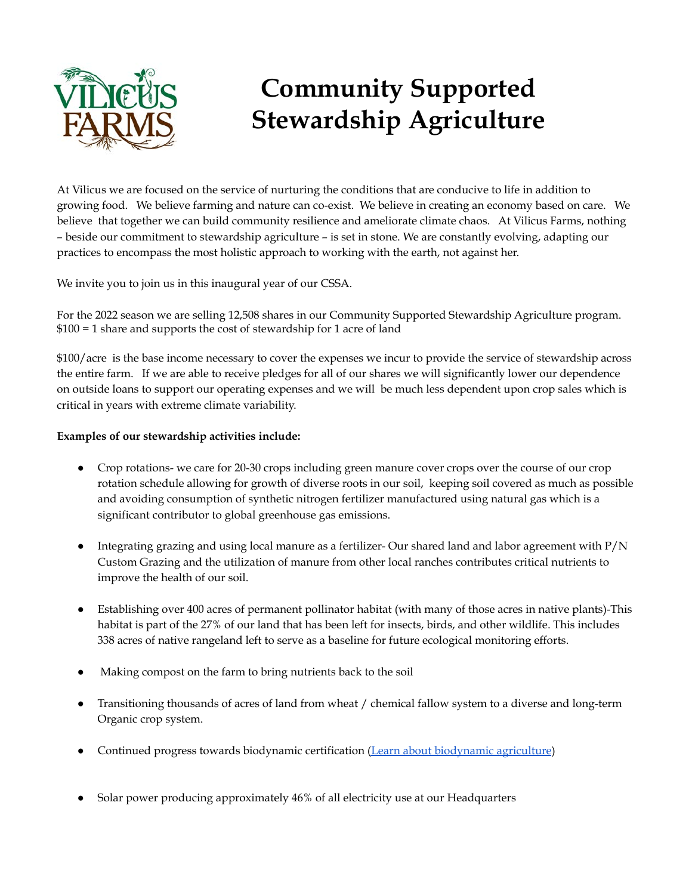

At Vilicus we are focused on the service of nurturing the conditions that are conducive to life in addition to growing food. We believe farming and nature can co-exist. We believe in creating an economy based on care. We believe that together we can build community resilience and ameliorate climate chaos. At Vilicus Farms, nothing – beside our commitment to stewardship agriculture – is set in stone. We are constantly evolving, adapting our practices to encompass the most holistic approach to working with the earth, not against her.

We invite you to join us in this inaugural year of our CSSA.

For the 2022 season we are selling 12,508 shares in our Community Supported Stewardship Agriculture program. \$100 = 1 share and supports the cost of stewardship for 1 acre of land

\$100/acre is the base income necessary to cover the expenses we incur to provide the service of stewardship across the entire farm. If we are able to receive pledges for all of our shares we will significantly lower our dependence on outside loans to support our operating expenses and we will be much less dependent upon crop sales which is critical in years with extreme climate variability.

### **Examples of our stewardship activities include:**

- Crop rotations- we care for 20-30 crops including green manure cover crops over the course of our crop rotation schedule allowing for growth of diverse roots in our soil, keeping soil covered as much as possible and avoiding consumption of synthetic nitrogen fertilizer manufactured using natural gas which is a significant contributor to global greenhouse gas emissions.
- Integrating grazing and using local manure as a fertilizer- Our shared land and labor agreement with P/N Custom Grazing and the utilization of manure from other local ranches contributes critical nutrients to improve the health of our soil.
- Establishing over 400 acres of permanent pollinator habitat (with many of those acres in native plants)-This habitat is part of the 27% of our land that has been left for insects, birds, and other wildlife. This includes 338 acres of native rangeland left to serve as a baseline for future ecological monitoring efforts.
- Making compost on the farm to bring nutrients back to the soil
- Transitioning thousands of acres of land from wheat / chemical fallow system to a diverse and long-term Organic crop system.
- Continued progress towards biodynamic certification [\(Learn about biodynamic agriculture\)](https://you-will-grow.net/#:~:text=Human%20development%20is%20at%20the,that%20is%20our%20precious%20planet.)
- Solar power producing approximately 46% of all electricity use at our Headquarters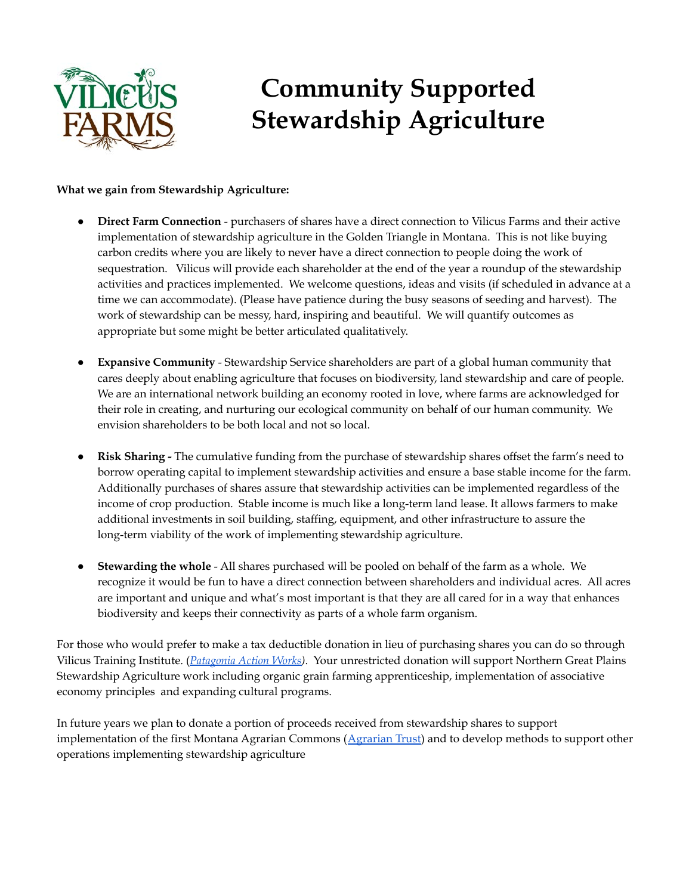

#### **What we gain from Stewardship Agriculture:**

- **Direct Farm Connection** purchasers of shares have a direct connection to Vilicus Farms and their active implementation of stewardship agriculture in the Golden Triangle in Montana. This is not like buying carbon credits where you are likely to never have a direct connection to people doing the work of sequestration. Vilicus will provide each shareholder at the end of the year a roundup of the stewardship activities and practices implemented. We welcome questions, ideas and visits (if scheduled in advance at a time we can accommodate). (Please have patience during the busy seasons of seeding and harvest). The work of stewardship can be messy, hard, inspiring and beautiful. We will quantify outcomes as appropriate but some might be better articulated qualitatively.
- **Expansive Community** Stewardship Service shareholders are part of a global human community that cares deeply about enabling agriculture that focuses on biodiversity, land stewardship and care of people. We are an international network building an economy rooted in love, where farms are acknowledged for their role in creating, and nurturing our ecological community on behalf of our human community. We envision shareholders to be both local and not so local.
- **Risk Sharing -** The cumulative funding from the purchase of stewardship shares offset the farm's need to borrow operating capital to implement stewardship activities and ensure a base stable income for the farm. Additionally purchases of shares assure that stewardship activities can be implemented regardless of the income of crop production. Stable income is much like a long-term land lease. It allows farmers to make additional investments in soil building, staffing, equipment, and other infrastructure to assure the long-term viability of the work of implementing stewardship agriculture.
- **Stewarding the whole** All shares purchased will be pooled on behalf of the farm as a whole. We recognize it would be fun to have a direct connection between shareholders and individual acres. All acres are important and unique and what's most important is that they are all cared for in a way that enhances biodiversity and keeps their connectivity as parts of a whole farm organism.

For those who would prefer to make a tax deductible donation in lieu of purchasing shares you can do so through Vilicus Training Institute. (*[Patagonia Action Works\)](https://www.patagonia.com/actionworks/grantees/vilicus-training-institute/)*. Your unrestricted donation will support Northern Great Plains Stewardship Agriculture work including organic grain farming apprenticeship, implementation of associative economy principles and expanding cultural programs.

In future years we plan to donate a portion of proceeds received from stewardship shares to support implementation of the first Montana Agrarian Commons ([Agrarian Trust\)](https://www.agrariantrust.org) and to develop methods to support other operations implementing stewardship agriculture